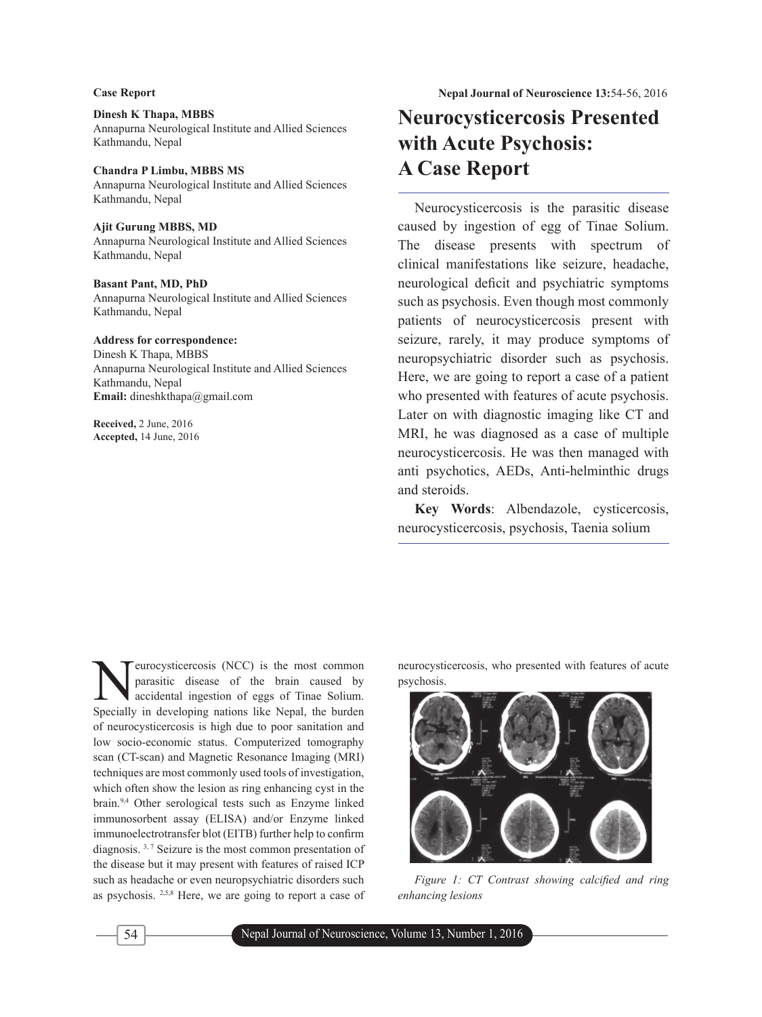### **Dinesh K Thapa, MBBS** Annapurna Neurological Institute and Allied Sciences Kathmandu, Nepal

# **Chandra P Limbu, MBBS MS**

Annapurna Neurological Institute and Allied Sciences Kathmandu, Nepal

#### **Ajit Gurung MBBS, MD**

Annapurna Neurological Institute and Allied Sciences Kathmandu, Nepal

### **Basant Pant, MD, PhD**

Annapurna Neurological Institute and Allied Sciences Kathmandu, Nepal

#### **Address for correspondence:**

Dinesh K Thapa, MBBS Annapurna Neurological Institute and Allied Sciences Kathmandu, Nepal **Email:** dineshkthapa@gmail.com

**Received,** 2 June, 2016 **Accepted,** 14 June, 2016

# **Neurocysticercosis Presented with Acute Psychosis: A Case Report**

Neurocysticercosis is the parasitic disease caused by ingestion of egg of Tinae Solium. The disease presents with spectrum of clinical manifestations like seizure, headache, neurological deficit and psychiatric symptoms such as psychosis. Even though most commonly patients of neurocysticercosis present with seizure, rarely, it may produce symptoms of neuropsychiatric disorder such as psychosis. Here, we are going to report a case of a patient who presented with features of acute psychosis. Later on with diagnostic imaging like CT and MRI, he was diagnosed as a case of multiple neurocysticercosis. He was then managed with anti psychotics, AEDs, Anti-helminthic drugs and steroids.

**Key Words**: Albendazole, cysticercosis, neurocysticercosis, psychosis, Taenia solium

**Neurocysticercosis (NCC)** is the most common parasitic disease of the brain caused by accidental ingestion of eggs of Tinae Solium. parasitic disease of the brain caused by Specially in developing nations like Nepal, the burden of neurocysticercosis is high due to poor sanitation and low socio-economic status. Computerized tomography scan (CT-scan) and Magnetic Resonance Imaging (MRI) techniques are most commonly used tools of investigation, which often show the lesion as ring enhancing cyst in the brain.9,4 Other serological tests such as Enzyme linked immunosorbent assay (ELISA) and/or Enzyme linked immunoelectrotransfer blot (EITB) further help to confirm diagnosis. 3, 7 Seizure is the most common presentation of the disease but it may present with features of raised ICP such as headache or even neuropsychiatric disorders such as psychosis. 2,5,8 Here, we are going to report a case of

neurocysticercosis, who presented with features of acute psychosis.



*Figure 1: CT Contrast showing calcified and ring enhancing lesions*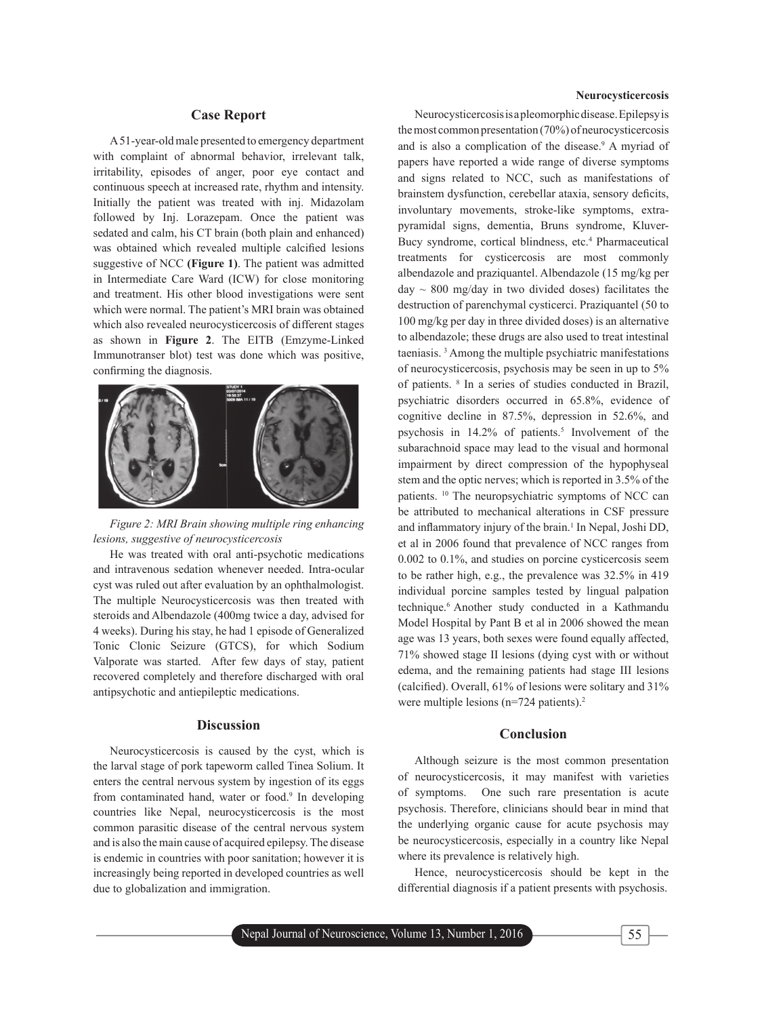# **Case Report**

A 51-year-old male presented to emergency department with complaint of abnormal behavior, irrelevant talk, irritability, episodes of anger, poor eye contact and continuous speech at increased rate, rhythm and intensity. Initially the patient was treated with inj. Midazolam followed by Inj. Lorazepam. Once the patient was sedated and calm, his CT brain (both plain and enhanced) was obtained which revealed multiple calcified lesions suggestive of NCC **(Figure 1)**. The patient was admitted in Intermediate Care Ward (ICW) for close monitoring and treatment. His other blood investigations were sent which were normal. The patient's MRI brain was obtained which also revealed neurocysticercosis of different stages as shown in **Figure 2**. The EITB (Emzyme-Linked Immunotranser blot) test was done which was positive, confirming the diagnosis.



*Figure 2: MRI Brain showing multiple ring enhancing lesions, suggestive of neurocysticercosis*

He was treated with oral anti-psychotic medications and intravenous sedation whenever needed. Intra-ocular cyst was ruled out after evaluation by an ophthalmologist. The multiple Neurocysticercosis was then treated with steroids and Albendazole (400mg twice a day, advised for 4 weeks). During his stay, he had 1 episode of Generalized Tonic Clonic Seizure (GTCS), for which Sodium Valporate was started. After few days of stay, patient recovered completely and therefore discharged with oral antipsychotic and antiepileptic medications.

#### **Discussion**

Neurocysticercosis is caused by the cyst, which is the larval stage of pork tapeworm called Tinea Solium. It enters the central nervous system by ingestion of its eggs from contaminated hand, water or food.<sup>9</sup> In developing countries like Nepal, neurocysticercosis is the most common parasitic disease of the central nervous system and is also the main cause of acquired epilepsy. The disease is endemic in countries with poor sanitation; however it is increasingly being reported in developed countries as well due to globalization and immigration.

#### **Neurocysticercosis**

Neurocysticercosis is a pleomorphic disease. Epilepsy is the most common presentation (70%) of neurocysticercosis and is also a complication of the disease.<sup>9</sup> A myriad of papers have reported a wide range of diverse symptoms and signs related to NCC, such as manifestations of brainstem dysfunction, cerebellar ataxia, sensory deficits, involuntary movements, stroke-like symptoms, extrapyramidal signs, dementia, Bruns syndrome, Kluver-Bucy syndrome, cortical blindness, etc.<sup>4</sup> Pharmaceutical treatments for cysticercosis are most commonly albendazole and praziquantel. Albendazole (15 mg/kg per day  $\sim$  800 mg/day in two divided doses) facilitates the destruction of parenchymal cysticerci. Praziquantel (50 to 100 mg/kg per day in three divided doses) is an alternative to albendazole; these drugs are also used to treat intestinal taeniasis. 3 Among the multiple psychiatric manifestations of neurocysticercosis, psychosis may be seen in up to 5% of patients. 8 In a series of studies conducted in Brazil, psychiatric disorders occurred in 65.8%, evidence of cognitive decline in 87.5%, depression in 52.6%, and psychosis in  $14.2\%$  of patients.<sup>5</sup> Involvement of the subarachnoid space may lead to the visual and hormonal impairment by direct compression of the hypophyseal stem and the optic nerves; which is reported in 3.5% of the patients. <sup>10</sup> The neuropsychiatric symptoms of NCC can be attributed to mechanical alterations in CSF pressure and inflammatory injury of the brain.<sup>1</sup> In Nepal, Joshi DD, et al in 2006 found that prevalence of NCC ranges from 0.002 to 0.1%, and studies on porcine cysticercosis seem to be rather high, e.g., the prevalence was 32.5% in 419 individual porcine samples tested by lingual palpation technique.6 Another study conducted in a Kathmandu Model Hospital by Pant B et al in 2006 showed the mean age was 13 years, both sexes were found equally affected, 71% showed stage II lesions (dying cyst with or without edema, and the remaining patients had stage III lesions (calcified). Overall,  $61\%$  of lesions were solitary and  $31\%$ were multiple lesions  $(n=724 \text{ patients})$ .<sup>2</sup>

#### **Conclusion**

Although seizure is the most common presentation of neurocysticercosis, it may manifest with varieties of symptoms. One such rare presentation is acute psychosis. Therefore, clinicians should bear in mind that the underlying organic cause for acute psychosis may be neurocysticercosis, especially in a country like Nepal where its prevalence is relatively high.

Hence, neurocysticercosis should be kept in the differential diagnosis if a patient presents with psychosis.